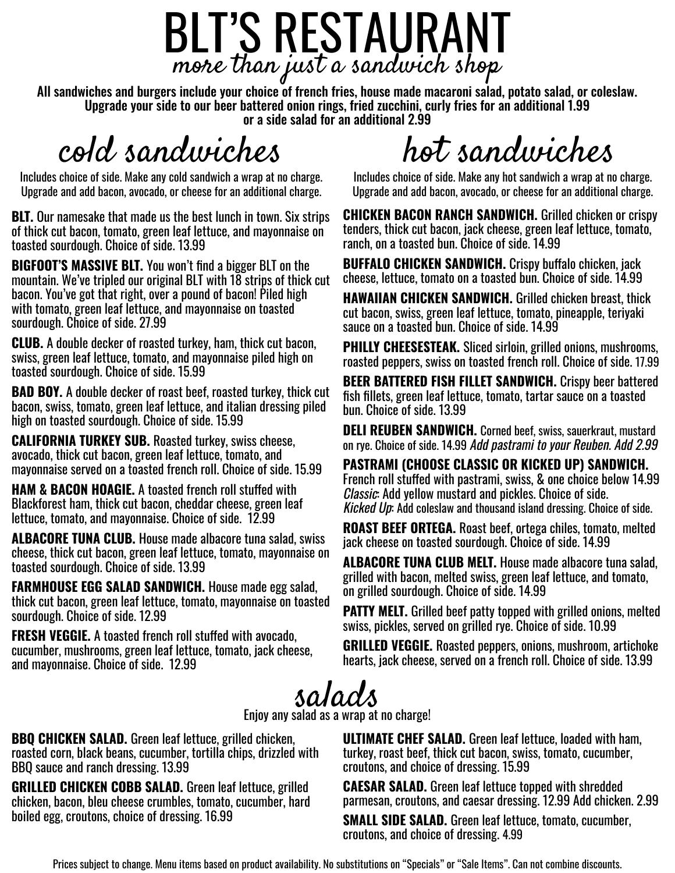## BLT'S RESTAURANT more than just a sandwich shop

All sandwiches and burgers include your choice of french fries, house made macaroni salad, potato salad, or coleslaw. Upgrade your side to our beer battered onion rings, fried zucchini, curly fries for an additional 1.99 or a side salad for an additional 2.99

### cold sandwiches

Includes choice of side. Make any cold sandwich a wrap at no charge. Upgrade and add bacon, avocado, or cheese for an additional charge.

**BLT.** Our namesake that made us the best lunch in town. Six strips of thick cut bacon, tomato, green leaf lettuce, and mayonnaise on toasted sourdough. Choice of side. 13.99

**BIGFOOT'S MASSIVE BLT.** You won't find a bigger BLT on the mountain. We've tripled our original BLT with 18 strips of thick cut bacon. You've got that right, over a pound of bacon! Piled high with tomato, green leaf lettuce, and mayonnaise on toasted sourdough. Choice of side. 27.99

**CLUB.** A double decker of roasted turkey, ham, thick cut bacon, swiss, green leaf lettuce, tomato, and mayonnaise piled high on toasted sourdough. Choice of side. 15.99

**BAD BOY.** A double decker of roast beef, roasted turkey, thick cut bacon, swiss, tomato, green leaf lettuce, and italian dressing piled high on toasted sourdough. Choice of side. 15.99

**CALIFORNIA TURKEY SUB.** Roasted turkey, swiss cheese, avocado, thick cut bacon, green leaf lettuce, tomato, and mayonnaise served on a toasted french roll. Choice of side. 15.99

**HAM & BACON HOAGIE.** A toasted french roll stuffed with Blackforest ham, thick cut bacon, cheddar cheese, green leaf lettuce, tomato, and mayonnaise. Choice of side. 12.99

**ALBACORE TUNA CLUB.** House made albacore tuna salad, swiss cheese, thick cut bacon, green leaf lettuce, tomato, mayonnaise on toasted sourdough. Choice of side. 13.99

**FARMHOUSE EGG SALAD SANDWICH.** House made egg salad, thick cut bacon, green leaf lettuce, tomato, mayonnaise on toasted sourdough. Choice of side. 12.99

**FRESH VEGGIE.** A toasted french roll stuffed with avocado, cucumber, mushrooms, green leaf lettuce, tomato, jack cheese, and mayonnaise. Choice of side. 12.99

# hot sandwiches

Includes choice of side. Make any hot sandwich a wrap at no charge. Upgrade and add bacon, avocado, or cheese for an additional charge.

**CHICKEN BACON RANCH SANDWICH.** Grilled chicken or crispy tenders, thick cut bacon, jack cheese, green leaf lettuce, tomato, ranch, on a toasted bun. Choice of side. 14.99

**BUFFALO CHICKEN SANDWICH.** Crispy buffalo chicken, jack cheese, lettuce, tomato on a toasted bun. Choice of side. 14.99

**HAWAIIAN CHICKEN SANDWICH.** Grilled chicken breast, thick cut bacon, swiss, green leaf lettuce, tomato, pineapple, teriyaki sauce on a toasted bun. Choice of side. 14.99

**PHILLY CHEESESTEAK.** Sliced sirloin, grilled onions, mushrooms, roasted peppers, swiss on toasted french roll. Choice of side. 17.99

**BEER BATTERED FISH FILLET SANDWICH.** Crispy beer battered fish fillets, green leaf lettuce, tomato, tartar sauce on a toasted bun. Choice of side. 13.99

**DELI REUBEN SANDWICH.** Corned beef, swiss, sauerkraut, mustard on rye. Choice of side. 14.99 Add pastrami to your Reuben. Add 2.99

**PASTRAMI (CHOOSE CLASSIC OR KICKED UP) SANDWICH.**  French roll stuffed with pastrami, swiss, & one choice below 14.99 Classic: Add yellow mustard and pickles. Choice of side. Kicked Up: Add coleslaw and thousand island dressing. Choice of side.

**ROAST BEEF ORTEGA.** Roast beef, ortega chiles, tomato, melted jack cheese on toasted sourdough. Choice of side. 14.99

**ALBACORE TUNA CLUB MELT.** House made albacore tuna salad, grilled with bacon, melted swiss, green leaf lettuce, and tomato, on grilled sourdough. Choice of side. 14.99

**PATTY MELT.** Grilled beef patty topped with grilled onions, melted swiss, pickles, served on grilled rye. Choice of side. 10.99

**GRILLED VEGGIE.** Roasted peppers, onions, mushroom, artichoke hearts, jack cheese, served on a french roll. Choice of side. 13.99

salads

Enjoy any salad as a wrap at no charge!

**BBQ CHICKEN SALAD.** Green leaf lettuce, grilled chicken, roasted corn, black beans, cucumber, tortilla chips, drizzled with BBQ sauce and ranch dressing. 13.99

**GRILLED CHICKEN COBB SALAD.** Green leaf lettuce, grilled chicken, bacon, bleu cheese crumbles, tomato, cucumber, hard boiled egg, croutons, choice of dressing. 16.99

**ULTIMATE CHEF SALAD.** Green leaf lettuce, loaded with ham, turkey, roast beef, thick cut bacon, swiss, tomato, cucumber, croutons, and choice of dressing. 15.99

**CAESAR SALAD.** Green leaf lettuce topped with shredded parmesan, croutons, and caesar dressing. 12.99 Add chicken. 2.99

**SMALL SIDE SALAD.** Green leaf lettuce, tomato, cucumber, croutons, and choice of dressing. 4.99

Prices subject to change. Menu items based on product availability. No substitutions on "Specials" or "Sale Items". Can not combine discounts.